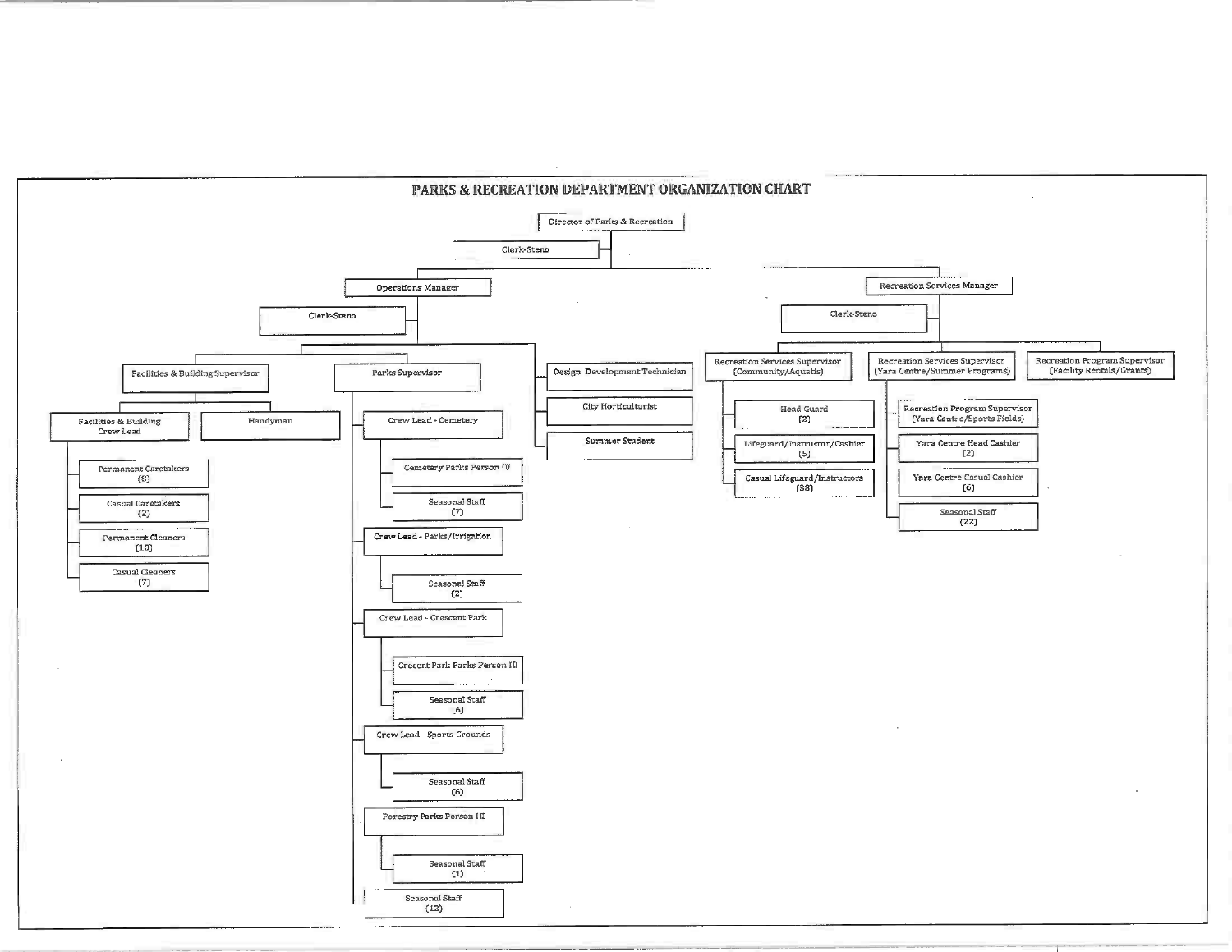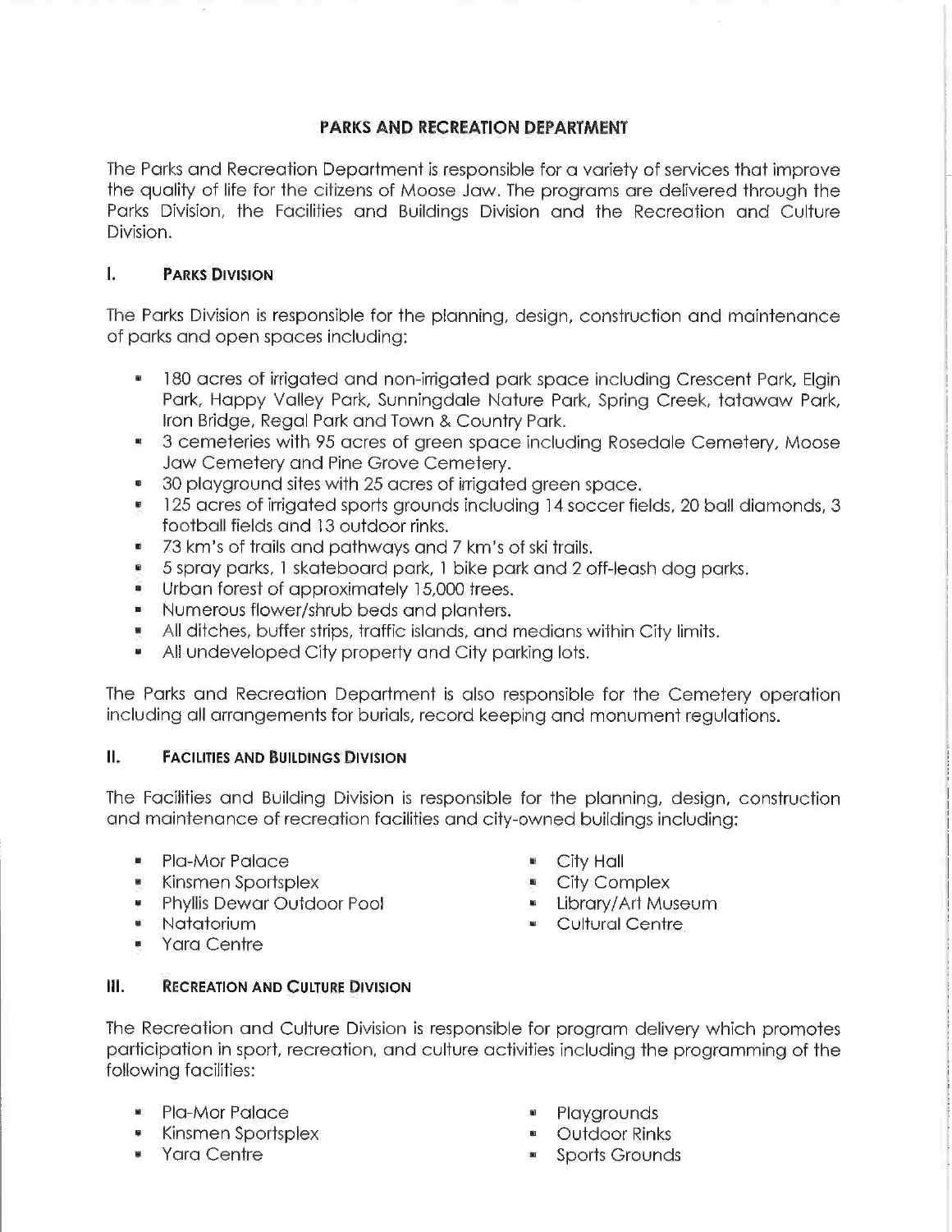# PARKS AND RECREATION DEPARTMENT

The Parks and Recreation Department is responsible for a variety of services that improve the quality of life for the citizens of Moose Jaw. The programs are delivered through the Parks Division, the Facilities and Buildings Division and the Recreation and Culture Division.

# I. PARKS DIVISION

The Parks Division is responsible for the planning, design, construction and maintenance of parks and open spaces including:

- 180 acres of irrigated and non-irrigated park space including Crescent Park, Elgin Park, Happy Valley Park, Sunningdale Nature Park, Spring Creek, tatawaw Park, Iron Bridge, Regal Park and Town & Country Park.
- 3 cemeteries with 95 acres of green space including Rosedale Cemetery, Moose Jaw Cemetery and Pine Grove Cemetery.
- **30 playground sites with 25 acres of irrigated green space.**
- 125 acres of irrigated sports grounds including 14 soccer fields, 20 ball diamonds, 3 football fields and 13 outdoor rinks.
- 73 km's of frails and pathways and 7 km's of ski trails.
- 5 spray parks, 1 ska+eboard park, 1 bike park and 2 off-leash dog parks.
- Urban forest of approximately 15,000 trees.
- Numerous flower/shrub beds and planters.
- All ditches, buffer strips, traffic islands, and medians within City limits.
- All undeveloped City property and City parking lots.

The Parks and Recreation Department is also responsible for the Cemetery operation including all arrangements for burials, record keeping and monument regulations.

# II. FACILITIES AND BUILDINGS DIVISION

The Facilities and Building Division is responsible for the planning, design, construction and maintenance of recreation facilities and city-owned buildings including:

- **-** Pla-Mor Palace **N City Hall**
- 
- N Kinsmen Sportsplex City Complex • Phyllis Dewar Outdoor Pool
- 
- 
- 
- 
- 
- Na+a+orium Cultural Centre
- Yara Centre

# **III. RECREATION AND CULTURE DIVISION**

The Recreation and Culture Division is responsible for program delivery which promotes participation in sport, recreation, and culture activities including the programming of the following facilities:

- Pla-Mor Palace Playgrounds
- Kinsmen Spor+splex Outdoor Rinks
- 
- 
- 
- Yara Centre Table 1 Sports Grounds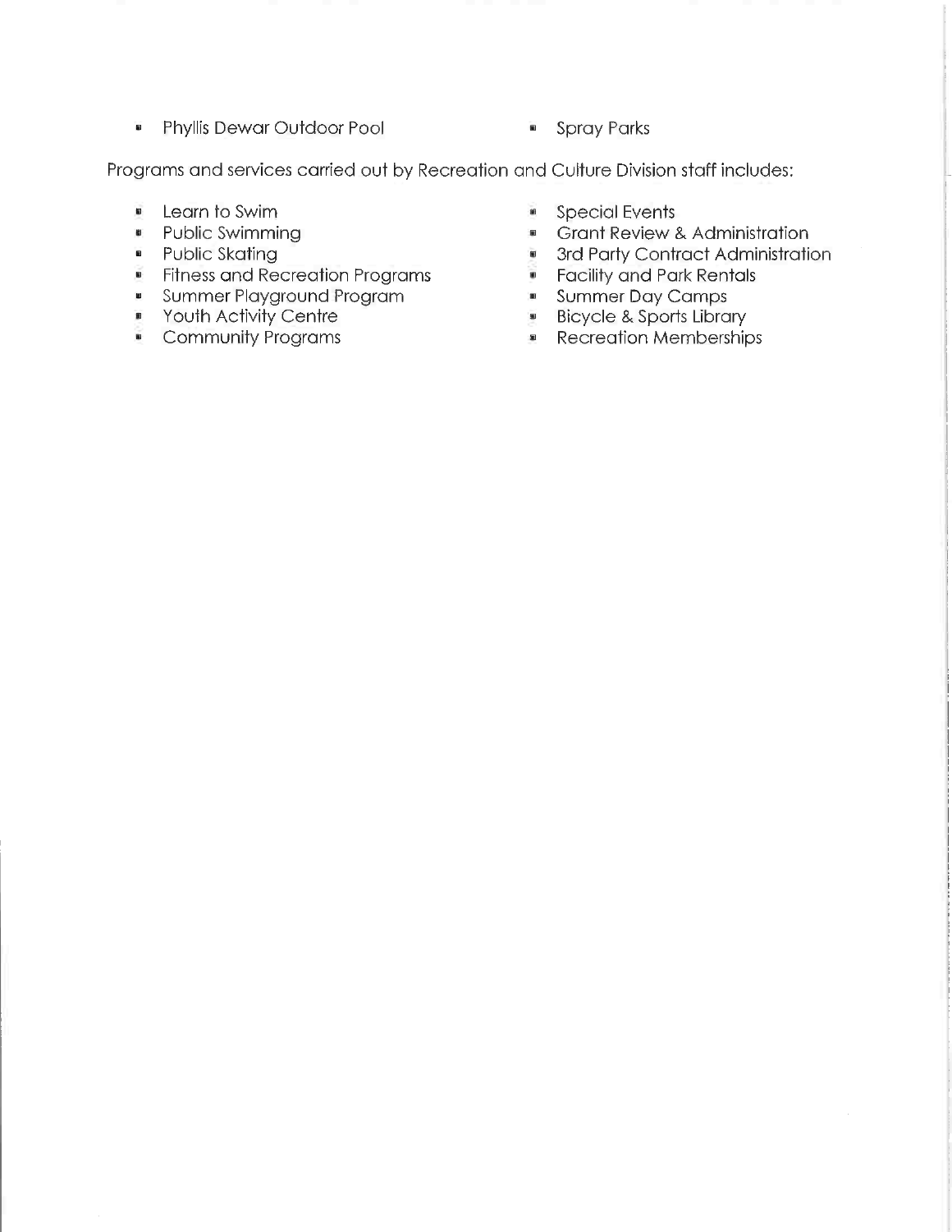$\blacksquare$ Phyllis Dewar Outdoor Pool Spray Parks

Programs and services carried out by Recreation and Culture Division staff includes

- $\blacksquare$ earn to Swim
- W. Public Swimming
- Public Skating
- Fitness and Recreation Programs
- Summer Playground Program
- $\blacksquare$ Youth Activity Centre
- Community Programs
- $\bar{\mathbf{z}}$ Special Events
- w ant Review & Administration
- $\bar{u}$ 3rd Party Contract Administration
- $\bar{\mathbf{m}}$ Facility and Park Rentals
- a. Summer Day Camps
- Bicycle & Sports Library ×
- Recreation Memberships ×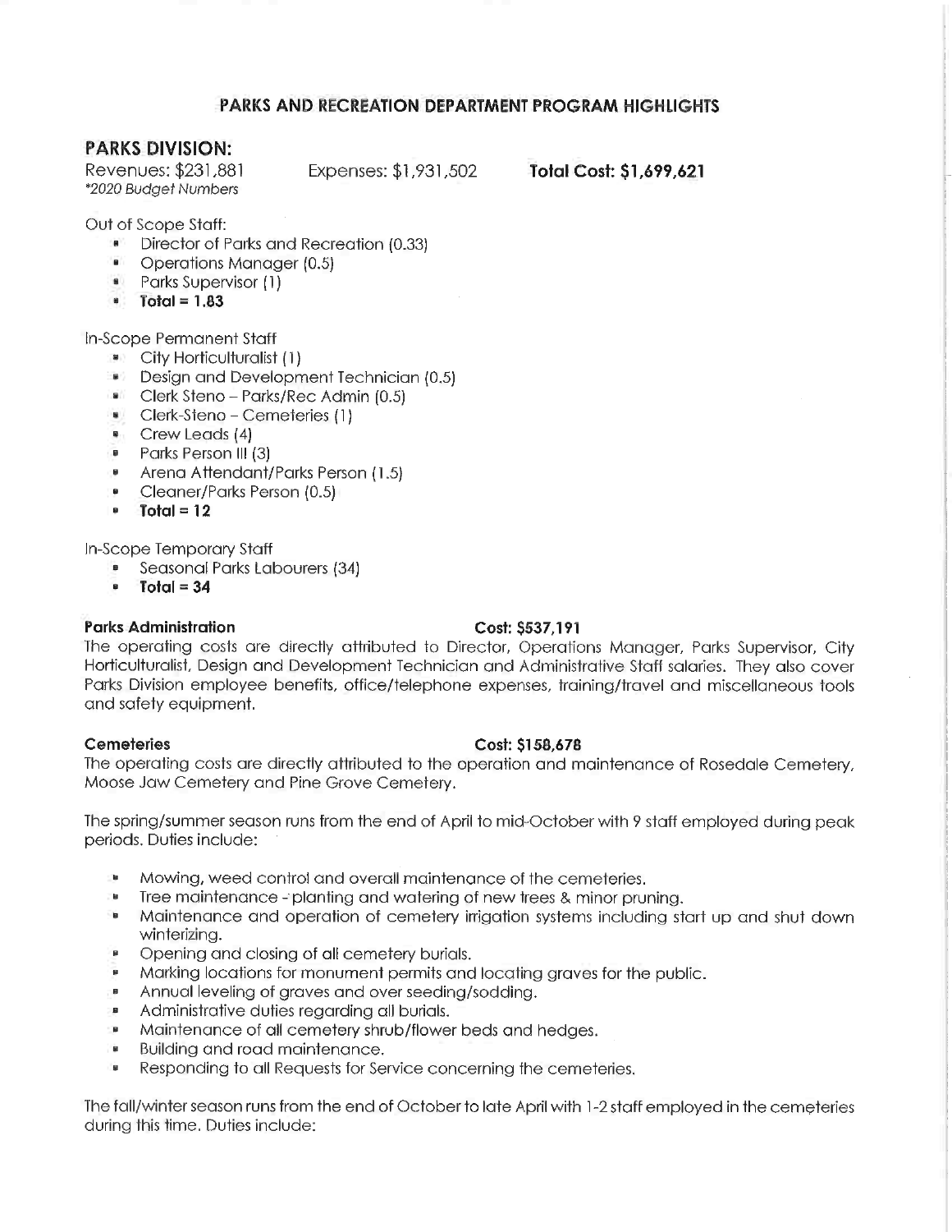## PARKS AND RECREATION DEPARTMENT PROGRAM HIGHLIGHTS

## PARKS DIVISION:

\*2020 Budget Numbers

Revenues: \$231,881 Expenses: \$1,931,502 Total Cost: \$1,699,621

Out of Scope Staff:

- Director of Parks and Recreation (0.33)
- Operations Manager (0.5)
- Parks Supervisor (1)
- $\bullet$  Total = 1.83

In-Scope Permanent Staff

- **B City Horticulturalist (1)**
- Design and Development Technician (0.5)
- **Ellis Clerk Steno Parks/Rec Admin (0.5)**
- " Qerk-Steno Cemeteries (1)
- " Crew Leads (4)
- Parks Person III (3)
- Arena Attendant/Parks Person (1.5)
- Cleaner/Parks Person (0.5) Ø.
- $-$  Total = 12

In-Scope Temporary Staff

- Seasonal Parks Labourers (34)
- $Total = 34$

## Parks Administration Cost: \$537,191

The operating costs are directly attributed to Director, Operations Manager, Parks Supervisor, City Horticulturalist, Design and Development Technician and Administrative Staff salaries. They also cover Parks Division employee benefits, office/telephone expenses, training/travel and miscellaneous tools and safety equipment.

### Cemeteries Cost: \$158,678

The operating costs are directly attributed to the operation and maintenance of Rosedale Cemetery, Moose Jaw Cemetery and Pine Grove Cemetery.

The spring/summer season runs from the end of April to mid-October with 9 staff employed during peak periods. Duties include:

- Mowing, weed control and overal! maintenance of the cemeteries.
- Tree maintenance planting and watering of new trees & minor pruning.
- 'n Maintenance and operation of cemetery irrigation systems including start up and shut down winterizing.
- Opening and closing of all cemetery burials.
- ø. Marking locations for monument permits and locating graves for the public.
- Annual leveling of graves and over seeding/sodding.  $\blacksquare$
- Administrative duties regarding all burials.
- Maintenance of all cemetery shrub/flower beds and hedges.
- " Building and road maintenance.
- Responding to all Requests for Service concerning the cemeteries.

The fall/winter season runs from the end of October to late April with 1-2 staff employed in the cemeteries during this time. Duties include: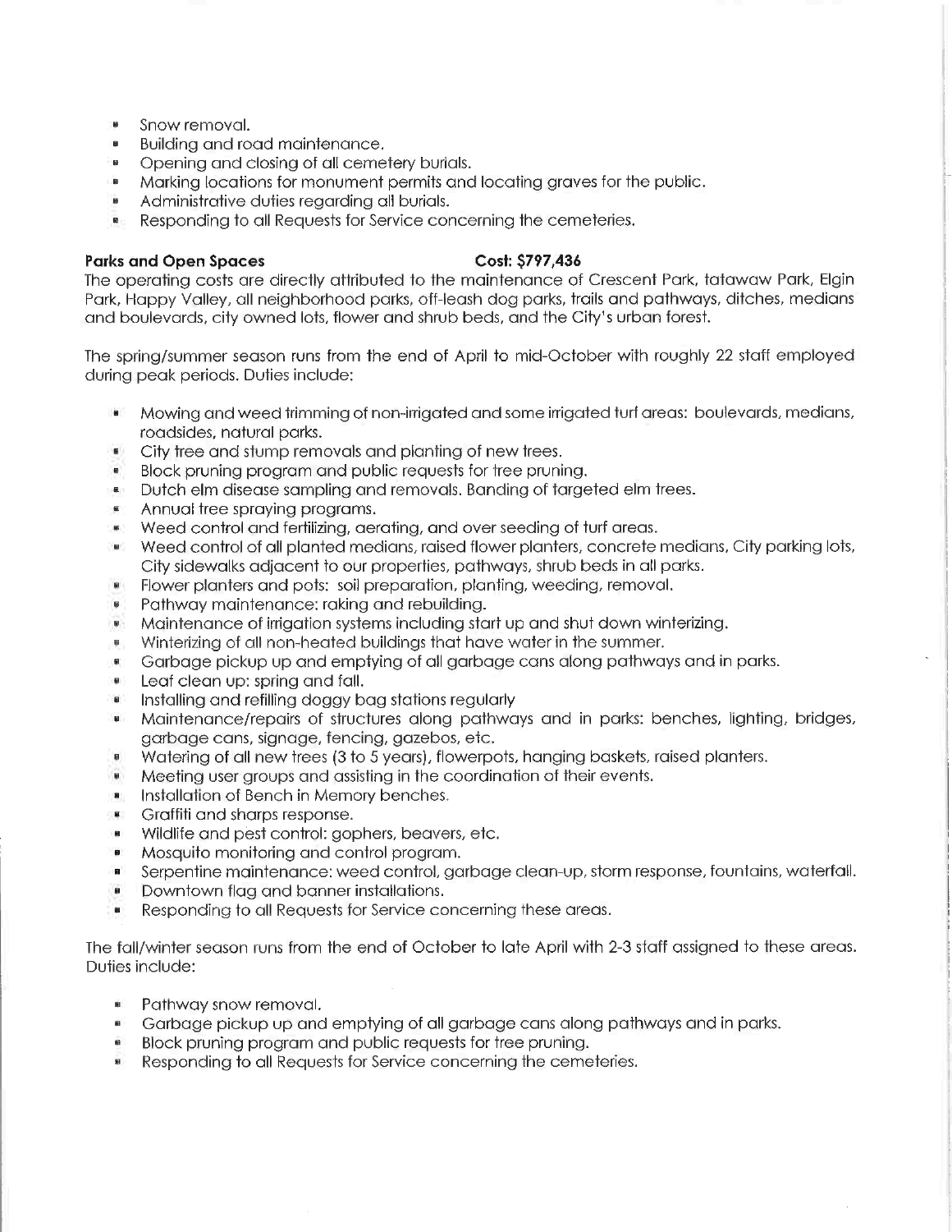- Snow removal.
- Building and road maintenance.
- Opening and closing of all cemetery burials.
- Marking locations for monument permits and locating graves for the public.
- Administrative duties regarding all burials.
- Responding to all Requests for Service concerning the cemeteries.  $\overline{\mathbf{B}}$

### Parks and Open Spaces Cost: \$797,436

The operating costs are directly attributed to the maintenance of Crescent Park, tatawaw Park, Elgin Park/ Happy Valley, all neighborhood parks, off-leash dog parks, trails and pathways, ditches, medians and boulevards, city owned lots, flower and shrub beds, and the City's urban forest.

The spring/summer season runs from the end of April to mid-Ocfober with roughly 22 staff employed during peak periods. Duties include:

- (前) Mowing and weed trimming of non-irrigated and some irrigated turf areas: boulevards, medians, roadsides, natural parks.
- City tree and stump removals and planting of new trees.
- Block pruning program and public requests for tree pruning.
- Dutch elm disease sampling and removals. Banding of targeted elm trees.
- Annual tree spraying programs.
- Weed control and fertilizing, aerating, and over seeding of turf areas.
- Weed control of all planted medians, raised flower planters, concrete medians. City parking lots, City sidewalks adjacent to our properties, pathways, shrub beds in all parks.
- Flower planters and pots: soil preparation, planting, weeding, removal.
- Pathway maintenance: raking and rebuilding.
- Maintenance of irrigation systems including start up and shut down winterizing.
- Winterizing of all non-heated buildings that have water in the summer.
- " Garbage pickup up and emptying of all garbage cans along pathways and in parks.
- Leaf clean up: spring and fall.
- $\bullet$  Installing and refilling doggy bag stations regularly
- Maintenance/repairs of structures along pathways and in parks: benches, lighting, bridges, garbage cans, signage, fencing, gazebos, etc.
- Watering of all new trees (3 to 5 years), flowerpots, hanging baskets, raised planters.
- Meeting user groups and assisting in the coordination of their events.
- **Installation of Bench in Memory benches.**
- Graffiti and sharps response.
- Wildlife and pest control: gophers, beavers, etc.
- Mosquito monitoring and control program.
- Serpentine maintenance: weed control, garbage clean-up, storm response, fountains, waterfall.
- Downtown flag and banner installations.
- **Responding to all Requests for Service concerning these areas.**

The fall/winter season runs from the end of October to late April with 2-3 staff assigned to these areas. Duties include:

- Pathway snow removal.
- Garbage pickup up and emptying of all garbage cans along pathways and in parks.
- Block pruning program and public requests for tree pruning.
- Responding to all Requests for Service concerning the cemeteries.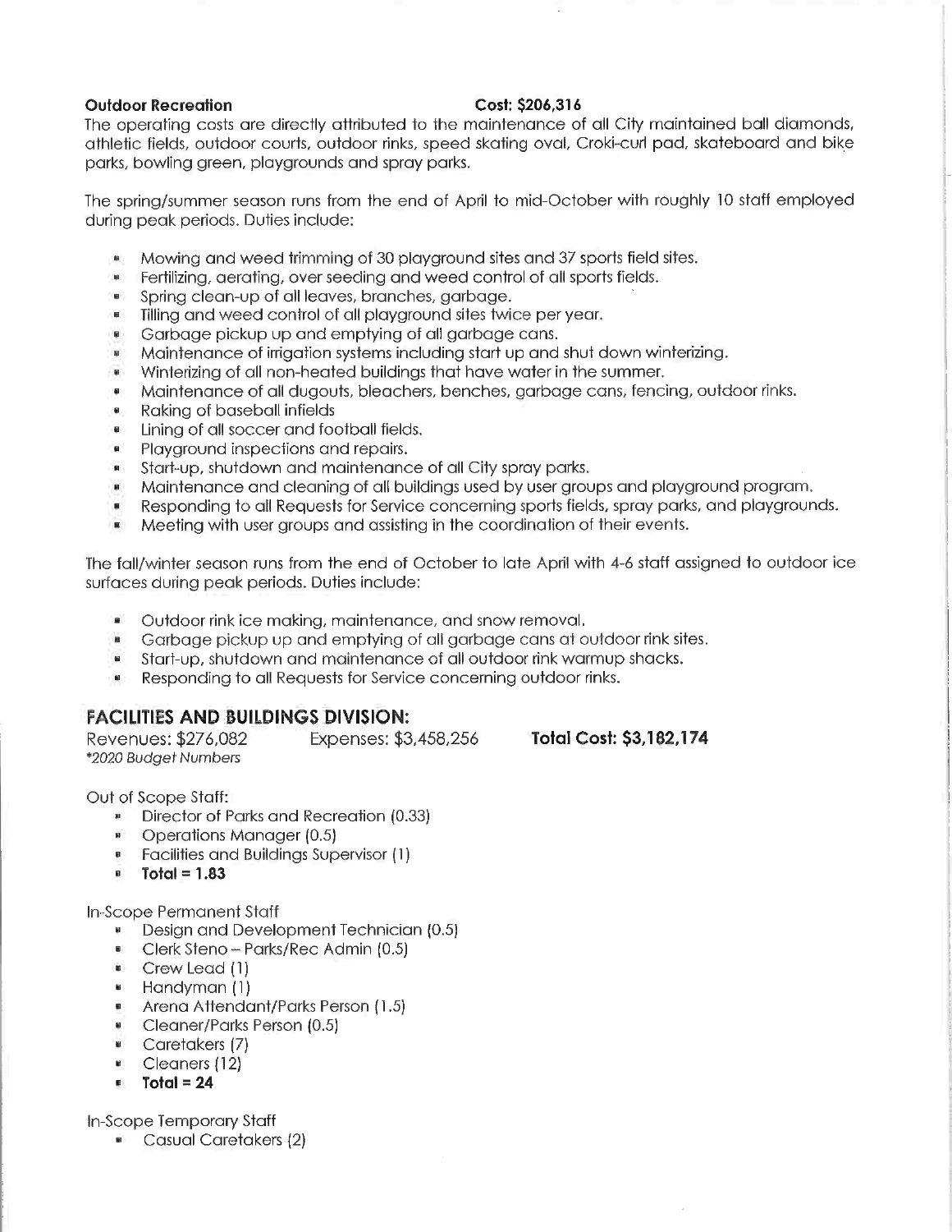### Outdoor Recreation Cost: \$206,316

The operating costs are directly attributed to the maintenance of all City maintained ball diamonds, athletic fields, outdoor courts, outdoor rinks, speed skating oval, Croki-curl pad, skateboard and bike parks, bowling green, playgrounds and spray parks.

The spring/summer season runs from the end of April to mid-October with roughly 10 staff employed during peak periods. Duties include:

- Mowing and weed trimming of 30 playground sites and 37 sports field sites.
- Fertilizing, aerating, over seeding and weed control of all sports fields.
- Spring clean-up of all leaves, branches, garbage.
- Tilling and weed control of all playground sites twice per year.
- Garbage pickup up and emptying of all garbage cans.
- " Maintenance of irrigation systems including start up and shut down winterizing.
- Winferizing of all non-heated buildings that have water in the summer.
- Maintenance of all dugouts, bleachers, benches, garbage cans, fencing, outdoor rinks.
- " Raking of baseball infields
- **I** Lining of all soccer and football fields.
- Playground inspections and repairs.  $\blacksquare$
- Start-up, shutdown and maintenance of all City spray parks.
- Maintenance and cleaning of all buildings used by user groups and playground program.
- " Responding to all Requests for Service concerning sports fields, spray parks, and playgrounds.<br>"Meeting with user groups and assisting in the coordination of their events.
- Meeting with user groups and assisting in the coordination of their events.

The fall/winter season runs from the end of October to late April with 4-6 staff assigned to outdoor ice surfaces during peak periods. Duties include:

- Outdoor rink ice making, maintenance, and snow removal.
- Garbage pickup up and emptying of all garbage cans at outdoor rink sites.  $\overline{\mathbf{B}}$
- Start-up, shutdown and maintenance of all outdoor rink warmup shacks.
- Responding to all Requests for Service concerning outdoor rinks.

## FACILITIES AND BUILDINGS DIVISION:

Revenues: \$276/082 Expenses: \$3/458,256 Total Cost: \$3,182/174 \*2020 Budget Numbers

Out of Scope Staff:

- Director of Parks and Recreation (0.33)
- Operations Manager (0.5)
- Facilities and Buildings Supervisor (1)
- $\bullet$  Total = 1.83

In-Scope Permanent Staff

- **Design and Development Technician (0.5)**
- Clerk Steno Parks/Rec Admin (0.5)
- Crew Lead (1)
- Handyman (1)
- Arena Attendant/Parks Person (1.5)
- Cleaner/Parks Person (0.5)
- Caretakers (7)
- Cleaners (12)
- $\blacksquare$  Total = 24

In-Scope Temporary Staff

Casual Caretakers (2)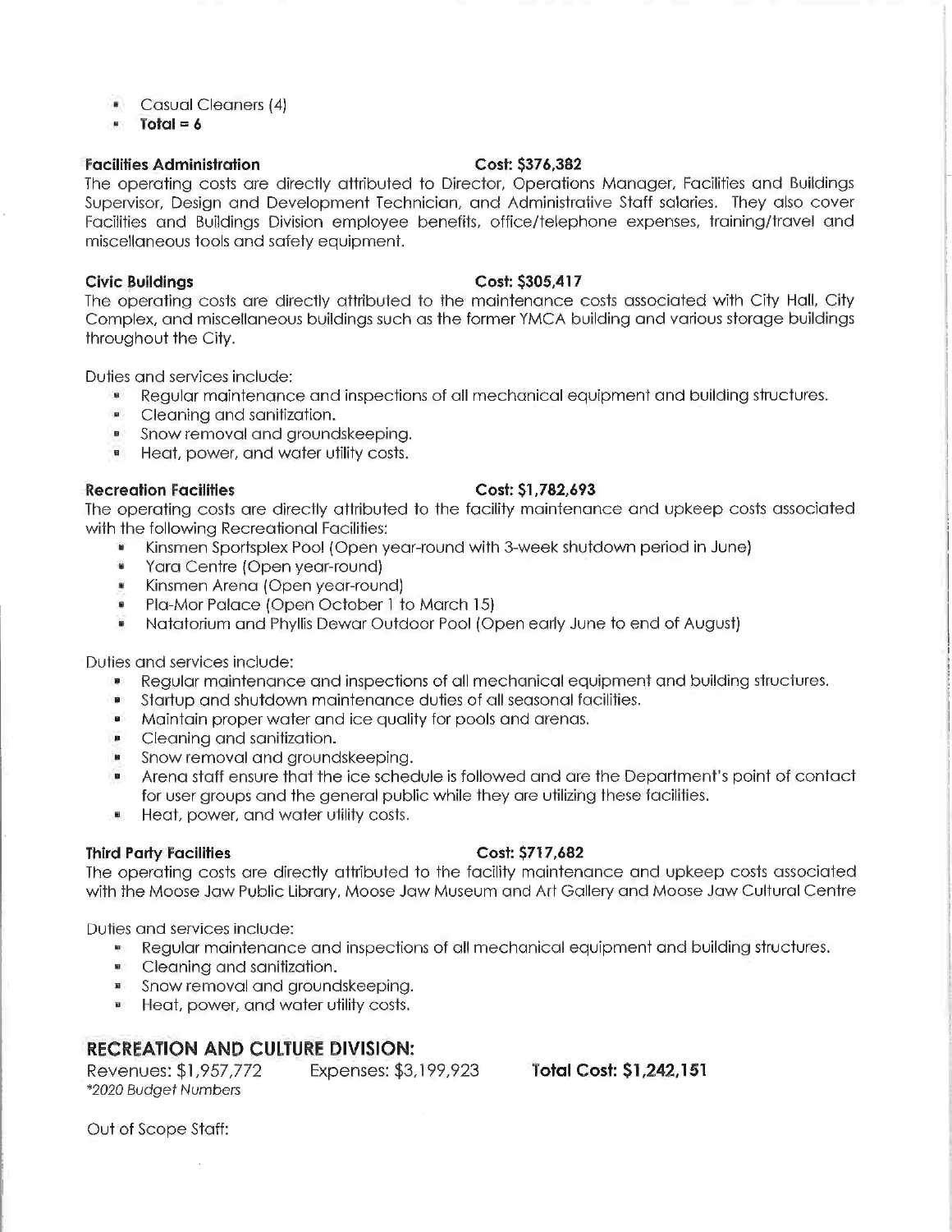- **Casual Cleaners (4)**
- $\blacksquare$  Total = 6

### Facilities Administration Cost: \$376,382

The operating costs are directly attributed to Director, Operations Manager, Facilities and Buildings Supervisor, Design and Development Technician, and Administrative Staff salaries. They also cover Facilities and Buildings Division employee benefits, office/telephone expenses, training/travel and miscellaneous tools and safety equipment.

### Civic Buildings Cost: \$305,417

The operating costs are directly attributed to the maintenance costs associated with City Hall, City Complex, and miscellaneous buildings such as the former YMCA building and various storage buildings throughout the City.

Duties and services include:

- Regular maintenance and inspections of all mechanical equipment and building structures.<br>• Cleaning and sanitization.
- Cleaning and sonitiza+ion.
- Snow removal and groundskeeping.
- **•** Heat, power, and water utility costs.

### Recreation Facilities Cost: \$1,782,693

The operating costs are directly attributed to the facility maintenance and upkeep costs associated with the following Recreational Facilities:

- Kinsmen Sportsplex Pool (Open year-round with 3-week shutdown period in June)<br>• Yara Centre (Open year-round)
- Yara Centre (Open year-round)
- Kinsmen Arena (Open year-round]
- Pla-Mor Palace (Open October 1 to March 15)
- Na+atorium and Phyllis Dewar Outdoor Pool (Open early June to end of August)

Duties and services include:

- Regular maintenance and inspections of all mechanical equipment and building structures.
- Startup and shutdown maintenance duties of all seasonal facilities.
- Maintain proper water and ice quality for pools and arenas.
- Cleaning and sanitization.
- Snow removal and groundskeeping.
- " Arena staff ensure that the ice schedule is followed and are the Department's point of contact for user groups and the general public while they are utilizing these facilities.
- Heat, power, and water utility costs.

### Third Party Facilities Cost: \$717,682

The operating costs are directly attributed to the facility maintenance and upkeep costs associated with the Moose Jaw Public Library, Moose Jaw Museum and Art Gallery and Moose Jaw Cultural Centre

Duties and services include:

- Regular maintenance and inspections of all mechanical equipment and building structures.
- Cleaning and sanitization.
- Snow removal and aroundskeeping.
- Heat, power, and water utility costs.

# RECREATION AND CULTURE DIVISION:

Revenues: \$1,957,772 Expenses: \$3,199,923 Total Cost: \$1,242,151 \*2020 Budget Numbers

Out of Scope Staff: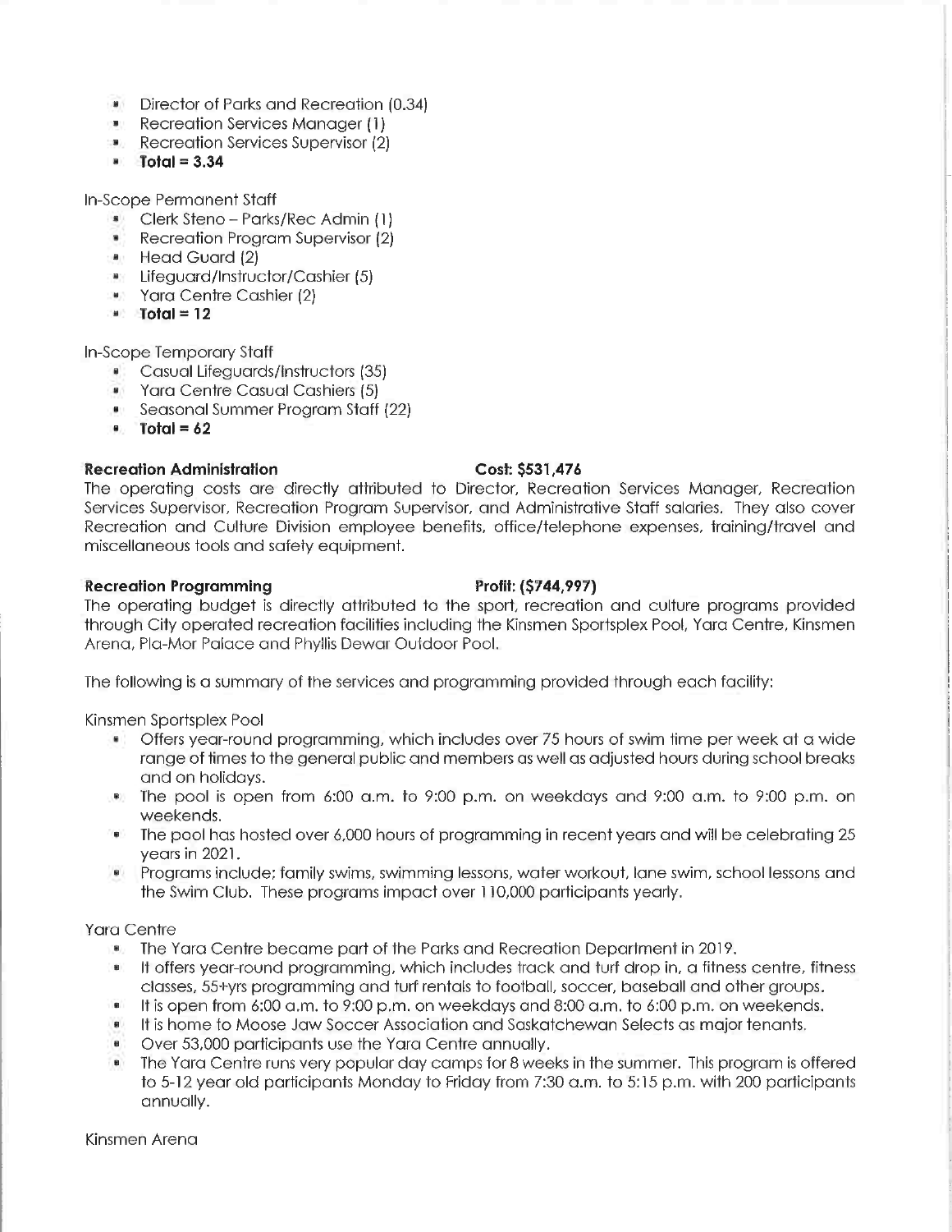- Director of Parks and Recreation (0.34)
- **Recreation Services Manager (1)**
- Recreation Services Supervisor (2)
- $\bullet$  Total = 3.34

In-Scope Permanent Staff

- Clerk Steno Parks/Rec Admin (1)
- Recreation Program Supervisor (2)
- Head Guard (2)
- Lifeguard/Instructor/Cashier (5)
- Yara Centre Cashier (2)
- $\bullet$  Total = 12

In-Scope Temporary Staff

- " Casual Lifeguards/Instructors (35)
- Yara Centre Casual Cashiers (5)
- Seasonal Summer Program Staff (22)
- $\bullet$  Total =  $62$

## Recreation Administration Cost: \$531,476

The operating costs are directly attributed to Director, Recreation Services Manager, Recreation Services Supervisor, Recreation Program Supervisor, and Administrative Staff salaries. They also cover Recreation and Culture Division employee benefits, office/telephone expenses, training/travel and miscellaneous tools and safety equipment.

### Recreation Programming Profit: (\$744,997)

The operating budget is directly attributed to the sport, recreation and culture programs provided through City operated recreation facilities including the Kinsmen Sportsplex Pool, Yara Centre, Kinsmen Arena, Pla-Mor Palace and Phyilis Dewar Outdoor Pool.

The following is a summary of the services and programming provided through each facility:

Kinsmen Sportsplex Pool

- Offers year-round programming, which includes over 75 hours of swim time per week at a wide range of times to the general public and members as well as adjusted hours during school breaks and on holidays.
- The pool is open from 6:00 a.m. to 9:00 p.m. on weekdays and 9:00 a.m. to 9:00 p.m. on weekends.
- The pool has hosted over 6,000 hours of programming in recent years and will be celebrating 25 years in 2021.
- Programs include; family swims, swimming lessons, water workout, lane swim, school lessons and the Swim Club. These programs impact over 110,000 participants yearly.

## Yara Centre

- " The Yara Centre became part of the Parks and Recreation Department in 2019.
- " It offers year-round programming, which includes track and turf drop in, a fitness centre, fitness classes/ 55+yrs programming and turf rentals to football, soccer, baseball and other groups.
- It is open from 6:00 a.m. to 9:00 p.m. on weekdays and 8:00 a.m. to 6:00 p.m. on weekends.
- It is home to Moose Jaw Soccer Association and Saska+chewan Selects as major tenants.
- Over 53,000 participants use the Yard Centre annually.
- The Yara Centre runs very popular day camps for 8 weeks in the summer. This program is offered to 5-12 year old participants Monday to Friday from 7:30 a.m. to 5:15 p.m. with 200 participants annually.

Kinsmen Arena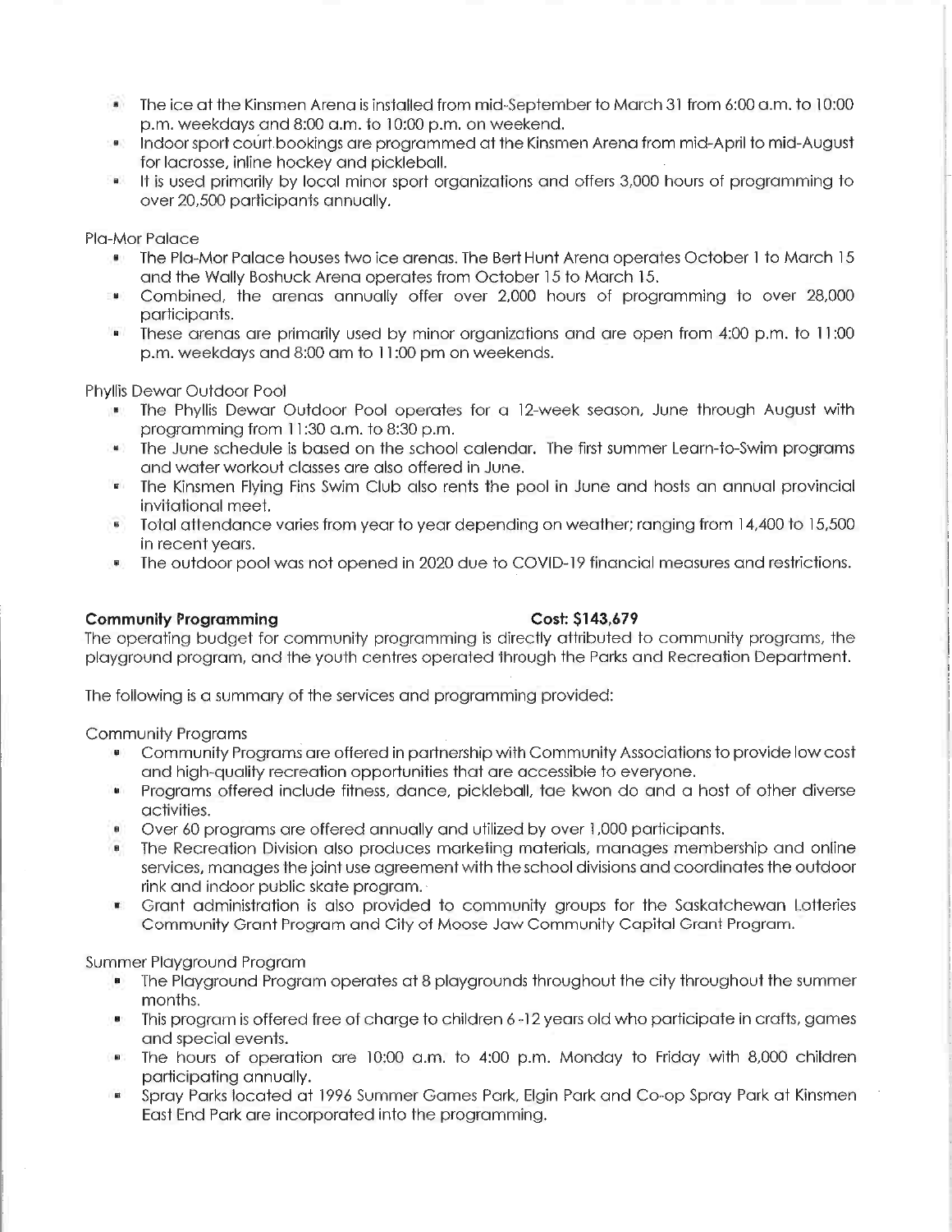- The ice at the Kinsmen Arena is installed from mid-September to March 31 from 6:00 a.m. to 10:00 p.m. weekdays and 8:00 am. to 10:00 p.m. on weekend.
- Indoor sport court bookings are programmed at the Kinsmen Arena from mid-April to mid-August for lacrosse, inline hockey and pickleball.
- It is used primarily by local minor sport organizations and offers 3/000 hours of programming to over 20,500 participants annually.

Pla-Mor Palace

- " The Pla-Mor Palace houses two ice arenas. The Bert Hunt Arena operates October 1 to March 15 and the Wally Boshuck Arena operates from October 15 to March 15.
- Combined, the arenas annually offer over 2,000 hours of programming to over 28,000 participants.
- These arenas are primarily used by minor organizations and are open from 4:00 p.m. to 11:00 p.m. weekdays and 8:00 am to 11:00 pm on weekends.

Phyllis Dewar Outdoor Pool

- " The Phyllis Dewar Outdoor Pool operates for a 12-week season, June through August with programming from 11:30 a.m. to 8:30 p.m.
- The June schedule is based on the school calendar. The first summer Learn-to-Swim programs and water workouf classes are also offered in June.
- The Kinsmen Flying Fins Swim Club also rents the pool in June and hosts an annual provincial invjfational meet.
- Total attendance varies from year to year depending on weather; ranging from 14,400 to 15,500 in recent years.
- The outdoor pool was not opened in 2020 due to COVID-19 financial measures and restrictions.

### Community Programming Cost: \$143,679

The operating budget for community programming is directly attributed to community programs, the playground program, and the youth centres operated through the Parks and Recreation Department.

The following is a summary of the services and programming provided:

Community Programs

- Community Programs are offered in partnership with Community Associations to provide low cost and high-quality recreation opportunities that are accessible to everyone.
- Programs offered include fitness, dance, pickleball, tae kwon do and a host of other diverse  $\blacksquare$ activities.
- Over 60 programs are offered annually and utilized by over 1,000 participants.
- " The Recreation Division also produces marketing materials, manages membership and online services, manages the joint use agreement with the school divisions and coordinates the outdoor rink and indoor public skate program.
- $\mathbf{S}$ Grant administration is also provided to community groups for the Saskatchewan Lotteries Community Grant Program and City of Moose Jaw Community Capital Grant Program.

Summer Playground Program

- The Playground Program operates at 8 playgrounds throughout the city throughout the summer months.
- " This program is offered free of charge to children 6-12 years old who participate in crafts, games and special events.
- The hours of operation are  $10:00$  a.m. to  $4:00$  p.m. Monday to Friday with 8,000 children participating annually.
- Spray Parks located at 1996 Summer Games Park, Elgin Park and Co-op Spray Park at Kinsmen East End Park are incorporated into the programming.